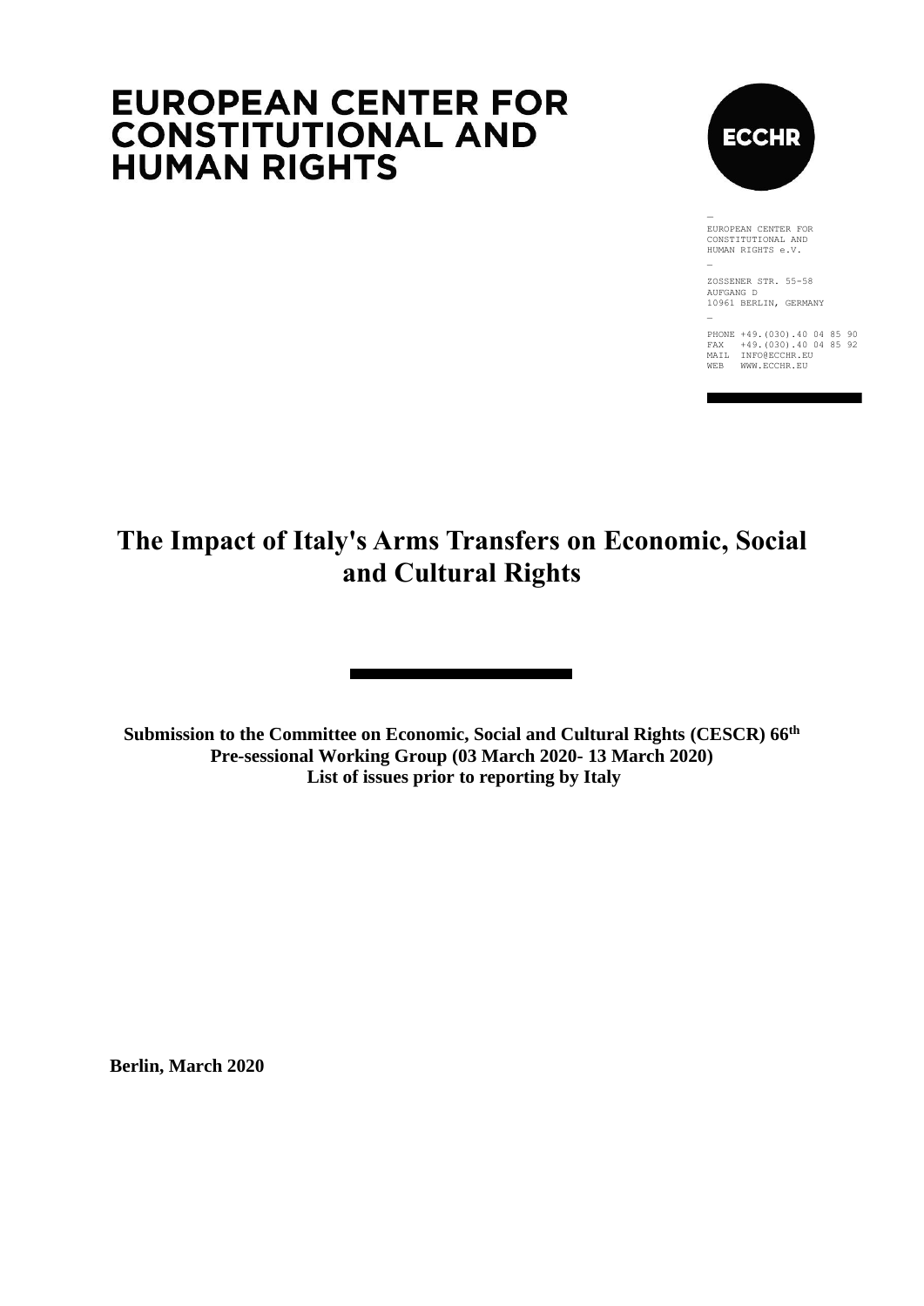# **EUROPEAN CENTER FOR CONSTITUTIONAL AND HUMAN RIGHTS**



EUROPEAN CENTER FOR CONSTITUTIONAL AND HUMAN RIGHTS e.V.

ZOSSENER STR. 55-58 AUFGANG D 10961 BERLIN, GERMANY \_

PHONE +49.(030).40 04 85 90 FAX +49.(030).40 04 85 92 MAIL INFO@ECCHR.EU WEB WWW.ECCHR.EU

## **The Impact of Italy's Arms Transfers on Economic, Social and Cultural Rights**

**Submission to the Committee on Economic, Social and Cultural Rights (CESCR) 66th Pre-sessional Working Group (03 March 2020- 13 March 2020) List of issues prior to reporting by Italy**

**Berlin, March 2020**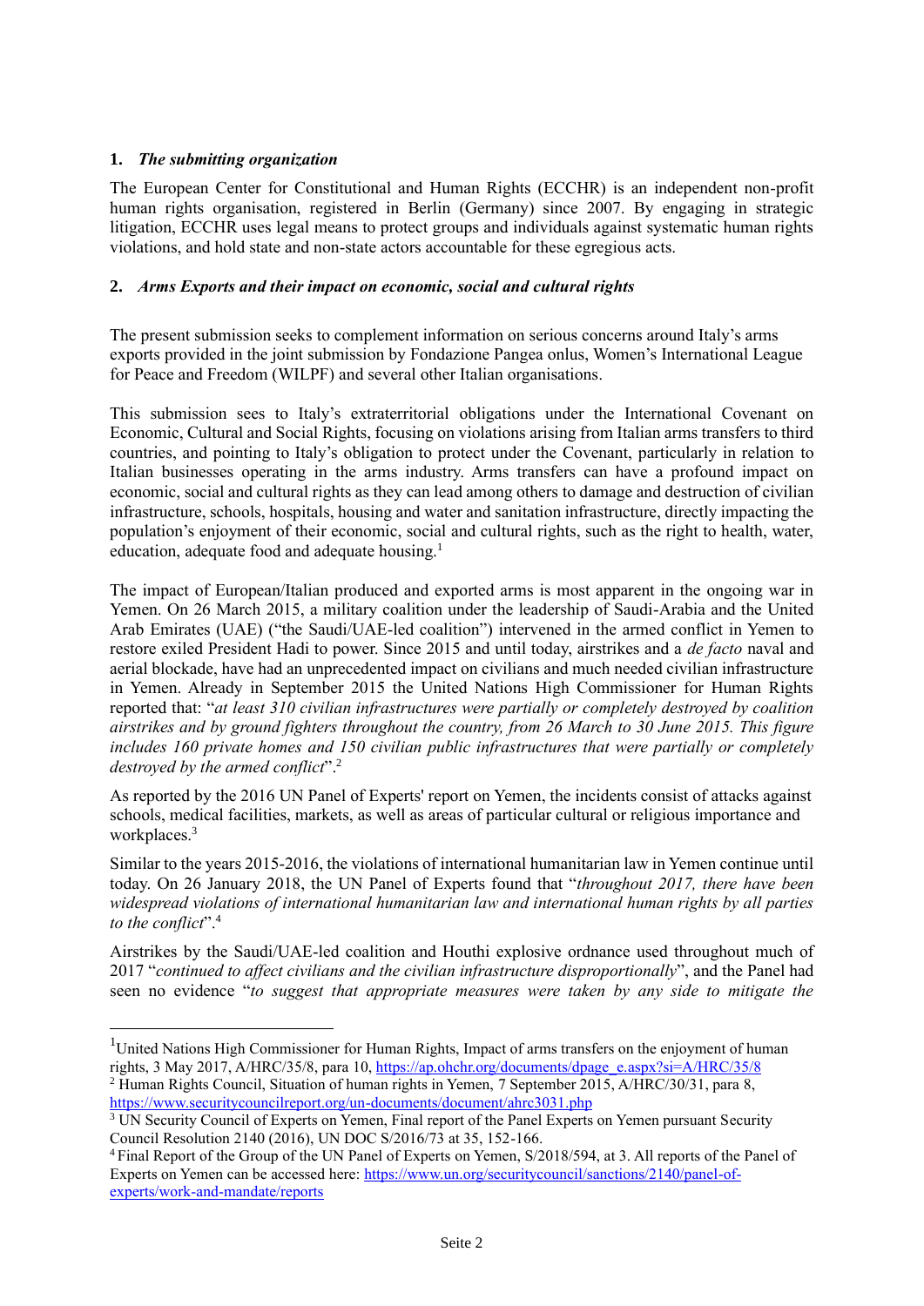## **1.** *The submitting organization*

The European Center for Constitutional and Human Rights (ECCHR) is an independent non-profit human rights organisation, registered in Berlin (Germany) since 2007. By engaging in strategic litigation, ECCHR uses legal means to protect groups and individuals against systematic human rights violations, and hold state and non-state actors accountable for these egregious acts.

#### **2.** *Arms Exports and their impact on economic, social and cultural rights*

The present submission seeks to complement information on serious concerns around Italy's arms exports provided in the joint submission by Fondazione Pangea onlus, Women's International League for Peace and Freedom (WILPF) and several other Italian organisations.

This submission sees to Italy's extraterritorial obligations under the International Covenant on Economic, Cultural and Social Rights, focusing on violations arising from Italian arms transfers to third countries, and pointing to Italy's obligation to protect under the Covenant, particularly in relation to Italian businesses operating in the arms industry. Arms transfers can have a profound impact on economic, social and cultural rights as they can lead among others to damage and destruction of civilian infrastructure, schools, hospitals, housing and water and sanitation infrastructure, directly impacting the population's enjoyment of their economic, social and cultural rights, such as the right to health, water, education, adequate food and adequate housing.<sup>1</sup>

The impact of European/Italian produced and exported arms is most apparent in the ongoing war in Yemen. On 26 March 2015, a military coalition under the leadership of Saudi-Arabia and the United Arab Emirates (UAE) ("the Saudi/UAE-led coalition") intervened in the armed conflict in Yemen to restore exiled President Hadi to power. Since 2015 and until today, airstrikes and a *de facto* naval and aerial blockade, have had an unprecedented impact on civilians and much needed civilian infrastructure in Yemen. Already in September 2015 the United Nations High Commissioner for Human Rights reported that: "*at least 310 civilian infrastructures were partially or completely destroyed by coalition airstrikes and by ground fighters throughout the country, from 26 March to 30 June 2015. This figure includes 160 private homes and 150 civilian public infrastructures that were partially or completely destroyed by the armed conflict*".<sup>2</sup>

As reported by the 2016 UN Panel of Experts' report on Yemen, the incidents consist of attacks against schools, medical facilities, markets, as well as areas of particular cultural or religious importance and workplaces.<sup>3</sup>

Similar to the years 2015-2016, the violations of international humanitarian law in Yemen continue until today. On 26 January 2018, the UN Panel of Experts found that "*throughout 2017, there have been widespread violations of international humanitarian law and international human rights by all parties to the conflict*".<sup>4</sup>

Airstrikes by the Saudi/UAE-led coalition and Houthi explosive ordnance used throughout much of 2017 "*continued to affect civilians and the civilian infrastructure disproportionally*", and the Panel had seen no evidence "*to suggest that appropriate measures were taken by any side to mitigate the* 

<sup>&</sup>lt;sup>1</sup>United Nations High Commissioner for Human Rights, Impact of arms transfers on the enjoyment of human rights, 3 May 2017, A/HRC/35/8, para 10, [https://ap.ohchr.org/documents/dpage\\_e.aspx?si=A/HRC/35/8](https://ap.ohchr.org/documents/dpage_e.aspx?si=A/HRC/35/8) <sup>2</sup> Human Rights Council, Situation of human rights in Yemen, 7 September 2015, A/HRC/30/31, para 8, <https://www.securitycouncilreport.org/un-documents/document/ahrc3031.php>

<sup>&</sup>lt;sup>3</sup> UN Security Council of Experts on Yemen, Final report of the Panel Experts on Yemen pursuant Security Council Resolution 2140 (2016), UN DOC S/2016/73 at 35, 152-166.

<sup>4</sup> Final Report of the Group of the UN Panel of Experts on Yemen, S/2018/594, at 3. All reports of the Panel of Experts on Yemen can be accessed here[: https://www.un.org/securitycouncil/sanctions/2140/panel-of](https://www.un.org/securitycouncil/sanctions/2140/panel-of-experts/work-and-mandate/reports)[experts/work-and-mandate/reports](https://www.un.org/securitycouncil/sanctions/2140/panel-of-experts/work-and-mandate/reports)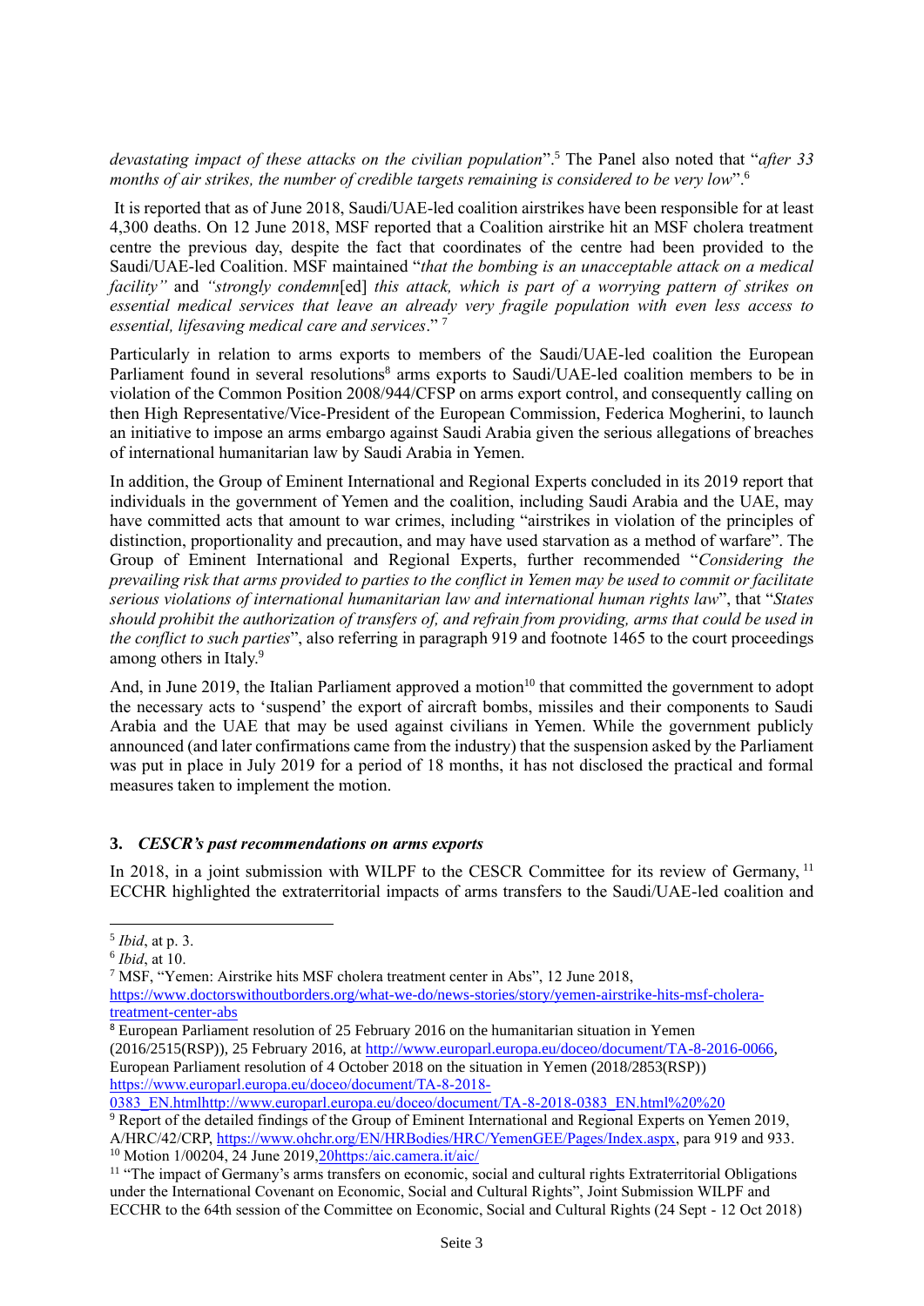*devastating impact of these attacks on the civilian population*".<sup>5</sup> The Panel also noted that "*after 33 months of air strikes, the number of credible targets remaining is considered to be very low*".<sup>6</sup>

It is reported that as of June 2018, Saudi/UAE-led coalition airstrikes have been responsible for at least 4,300 deaths. On 12 June 2018, MSF reported that a Coalition airstrike hit an MSF cholera treatment centre the previous day, despite the fact that coordinates of the centre had been provided to the Saudi/UAE-led Coalition. MSF maintained "*that the bombing is an unacceptable attack on a medical facility"* and *"strongly condemn*[ed] *this attack, which is part of a worrying pattern of strikes on essential medical services that leave an already very fragile population with even less access to essential, lifesaving medical care and services*." <sup>7</sup>

Particularly in relation to arms exports to members of the Saudi/UAE-led coalition the European Parliament found in several resolutions<sup>8</sup> arms exports to Saudi/UAE-led coalition members to be in violation of the Common Position 2008/944/CFSP on arms export control, and consequently calling on then High Representative/Vice-President of the European Commission, Federica Mogherini, to launch an initiative to impose an arms embargo against Saudi Arabia given the serious allegations of breaches of international humanitarian law by Saudi Arabia in Yemen.

In addition, the Group of Eminent International and Regional Experts concluded in its 2019 report that individuals in the government of Yemen and the coalition, including Saudi Arabia and the UAE, may have committed acts that amount to war crimes, including "airstrikes in violation of the principles of distinction, proportionality and precaution, and may have used starvation as a method of warfare". The Group of Eminent International and Regional Experts, further recommended "*Considering the prevailing risk that arms provided to parties to the conflict in Yemen may be used to commit or facilitate serious violations of international humanitarian law and international human rights law*", that "*States should prohibit the authorization of transfers of, and refrain from providing, arms that could be used in the conflict to such parties*", also referring in paragraph 919 and footnote 1465 to the court proceedings among others in Italy.<sup>9</sup>

And, in June 2019, the Italian Parliament approved a motion<sup>10</sup> that committed the government to adopt the necessary acts to 'suspend' the export of aircraft bombs, missiles and their components to Saudi Arabia and the UAE that may be used against civilians in Yemen. While the government publicly announced (and later confirmations came from the industry) that the suspension asked by the Parliament was put in place in July 2019 for a period of 18 months, it has not disclosed the practical and formal measures taken to implement the motion.

#### **3.** *CESCR's past recommendations on arms exports*

In 2018, in a joint submission with WILPF to the CESCR Committee for its review of Germany, <sup>11</sup> ECCHR highlighted the extraterritorial impacts of arms transfers to the Saudi/UAE-led coalition and

[0383\\_EN.htmlhttp://www.europarl.europa.eu/doceo/document/TA-8-2018-0383\\_EN.html%20%20](https://www.europarl.europa.eu/doceo/document/TA-8-2018-0383_EN.htmlhttp:/www.europarl.europa.eu/doceo/document/TA-8-2018-0383_EN.html)

<sup>10</sup> Motion 1/00204, 24 June 2019[,20https:/aic.camera.it/aic/](https://aic.camera.it/aic/)

<sup>5</sup> *Ibid*, at p. 3.

<sup>6</sup> *Ibid*, at 10.

<sup>7</sup> MSF, "Yemen: Airstrike hits MSF cholera treatment center in Abs", 12 June 2018,

[https://www.doctorswithoutborders.org/what-we-do/news-stories/story/yemen-airstrike-hits-msf-cholera](https://www.doctorswithoutborders.org/what-we-do/news-stories/story/yemen-airstrike-hits-msf-cholera-treatment-center-abs#_blank)[treatment-center-abs](https://www.doctorswithoutborders.org/what-we-do/news-stories/story/yemen-airstrike-hits-msf-cholera-treatment-center-abs#_blank)

<sup>8</sup> European Parliament resolution of 25 February 2016 on the humanitarian situation in Yemen

<sup>(2016/2515(</sup>RSP)), 25 February 2016, a[t http://www.europarl.europa.eu/doceo/document/TA-8-2016-0066,](http://www.europarl.europa.eu/doceo/document/TA-8-2016-0066) European Parliament resolution of 4 October 2018 on the situation in Yemen (2018/2853(RSP)) [https://www.europarl.europa.eu/doceo/document/TA-8-2018-](https://www.europarl.europa.eu/doceo/document/TA-8-2018-0383_EN.htmlhttp:/www.europarl.europa.eu/doceo/document/TA-8-2018-0383_EN.html)

<sup>&</sup>lt;sup>9</sup> Report of the detailed findings of the Group of Eminent International and Regional Experts on Yemen 2019, A/HRC/42/CRP, [https://www.ohchr.org/EN/HRBodies/HRC/YemenGEE/Pages/Index.aspx,](https://www.ohchr.org/EN/HRBodies/HRC/YemenGEE/Pages/Index.aspx) para 919 and 933.

<sup>&</sup>lt;sup>11</sup> "The impact of Germany's arms transfers on economic, social and cultural rights Extraterritorial Obligations under the International Covenant on Economic, Social and Cultural Rights", Joint Submission WILPF and ECCHR to the 64th session of the Committee on Economic, Social and Cultural Rights (24 Sept - 12 Oct 2018)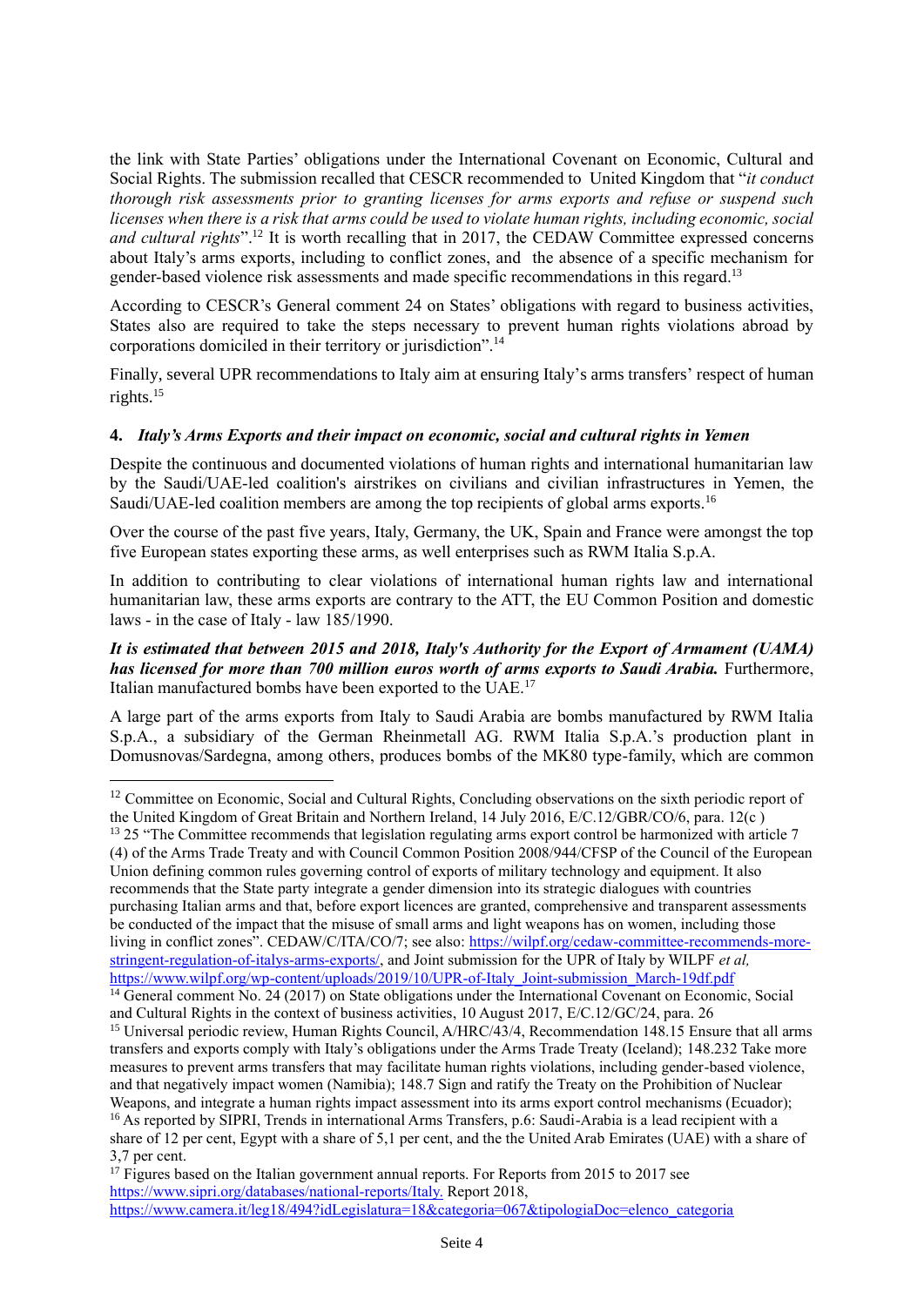the link with State Parties' obligations under the International Covenant on Economic, Cultural and Social Rights. The submission recalled that CESCR recommended to United Kingdom that "*it conduct thorough risk assessments prior to granting licenses for arms exports and refuse or suspend such licenses when there is a risk that arms could be used to violate human rights, including economic, social and cultural rights*".<sup>12</sup> It is worth recalling that in 2017, the CEDAW Committee expressed concerns about Italy's arms exports, including to conflict zones, and the absence of a specific mechanism for gender-based violence risk assessments and made specific recommendations in this regard.<sup>13</sup>

According to CESCR's General comment 24 on States' obligations with regard to business activities, States also are required to take the steps necessary to prevent human rights violations abroad by corporations domiciled in their territory or jurisdiction".<sup>14</sup>

Finally, several UPR recommendations to Italy aim at ensuring Italy's arms transfers' respect of human rights.<sup>15</sup>

### **4.** *Italy's Arms Exports and their impact on economic, social and cultural rights in Yemen*

Despite the continuous and documented violations of human rights and international humanitarian law by the Saudi/UAE-led coalition's airstrikes on civilians and civilian infrastructures in Yemen, the Saudi/UAE-led coalition members are among the top recipients of global arms exports.<sup>16</sup>

Over the course of the past five years, Italy, Germany, the UK, Spain and France were amongst the top five European states exporting these arms, as well enterprises such as RWM Italia S.p.A.

In addition to contributing to clear violations of international human rights law and international humanitarian law, these arms exports are contrary to the ATT, the EU Common Position and domestic laws - in the case of Italy - law 185/1990.

#### *It is estimated that between 2015 and 2018, Italy's Authority for the Export of Armament (UAMA) has licensed for more than 700 million euros worth of arms exports to Saudi Arabia. Furthermore,* Italian manufactured bombs have been exported to the UAE.<sup>17</sup>

A large part of the arms exports from Italy to Saudi Arabia are bombs manufactured by RWM Italia S.p.A., a subsidiary of the German Rheinmetall AG. RWM Italia S.p.A.'s production plant in Domusnovas/Sardegna, among others, produces bombs of the MK80 type-family, which are common

(4) of the Arms Trade Treaty and with Council Common Position 2008/944/CFSP of the Council of the European Union defining common rules governing control of exports of military technology and equipment. It also recommends that the State party integrate a gender dimension into its strategic dialogues with countries purchasing Italian arms and that, before export licences are granted, comprehensive and transparent assessments be conducted of the impact that the misuse of small arms and light weapons has on women, including those living in conflict zones". CEDAW/C/ITA/CO/7; see also: [https://wilpf.org/cedaw-committee-recommends-more](https://wilpf.org/cedaw-committee-recommends-more-stringent-regulation-of-italys-arms-exports/)[stringent-regulation-of-italys-arms-exports/,](https://wilpf.org/cedaw-committee-recommends-more-stringent-regulation-of-italys-arms-exports/) and Joint submission for the UPR of Italy by WILPF *et al,*  [https://www.wilpf.org/wp-content/uploads/2019/10/UPR-of-Italy\\_Joint-submission\\_March-19df.pdf](https://www.wilpf.org/wp-content/uploads/2019/10/UPR-of-Italy_Joint-submission_March-19df.pdf)

<sup>14</sup> General comment No. 24 (2017) on State obligations under the International Covenant on Economic, Social and Cultural Rights in the context of business activities, 10 August 2017, E/C.12/GC/24, para. 26

<sup>15</sup> Universal periodic review, Human Rights Council, A/HRC/43/4, Recommendation 148.15 Ensure that all arms transfers and exports comply with Italy's obligations under the Arms Trade Treaty (Iceland); 148.232 Take more measures to prevent arms transfers that may facilitate human rights violations, including gender-based violence, and that negatively impact women (Namibia); 148.7 Sign and ratify the Treaty on the Prohibition of Nuclear Weapons, and integrate a human rights impact assessment into its arms export control mechanisms (Ecuador); <sup>16</sup> As reported by SIPRI, Trends in international Arms Transfers, p.6: Saudi-Arabia is a lead recipient with a share of 12 per cent, Egypt with a share of 5,1 per cent, and the the United Arab Emirates (UAE) with a share of 3,7 per cent.

<sup>&</sup>lt;sup>12</sup> Committee on Economic, Social and Cultural Rights, Concluding observations on the sixth periodic report of the United Kingdom of Great Britain and Northern Ireland, 14 July 2016, E/C.12/GBR/CO/6, para. 12(c ) <sup>13</sup> 25 "The Committee recommends that legislation regulating arms export control be harmonized with article 7

 $17$  Figures based on the Italian government annual reports. For Reports from 2015 to 2017 see https://www.sipri.org/databases/national-reports/Italy. Report 2018, https://www.camera.it/leg18/494?idLegislatura=18&categoria=067&tipologiaDoc=elenco\_categoria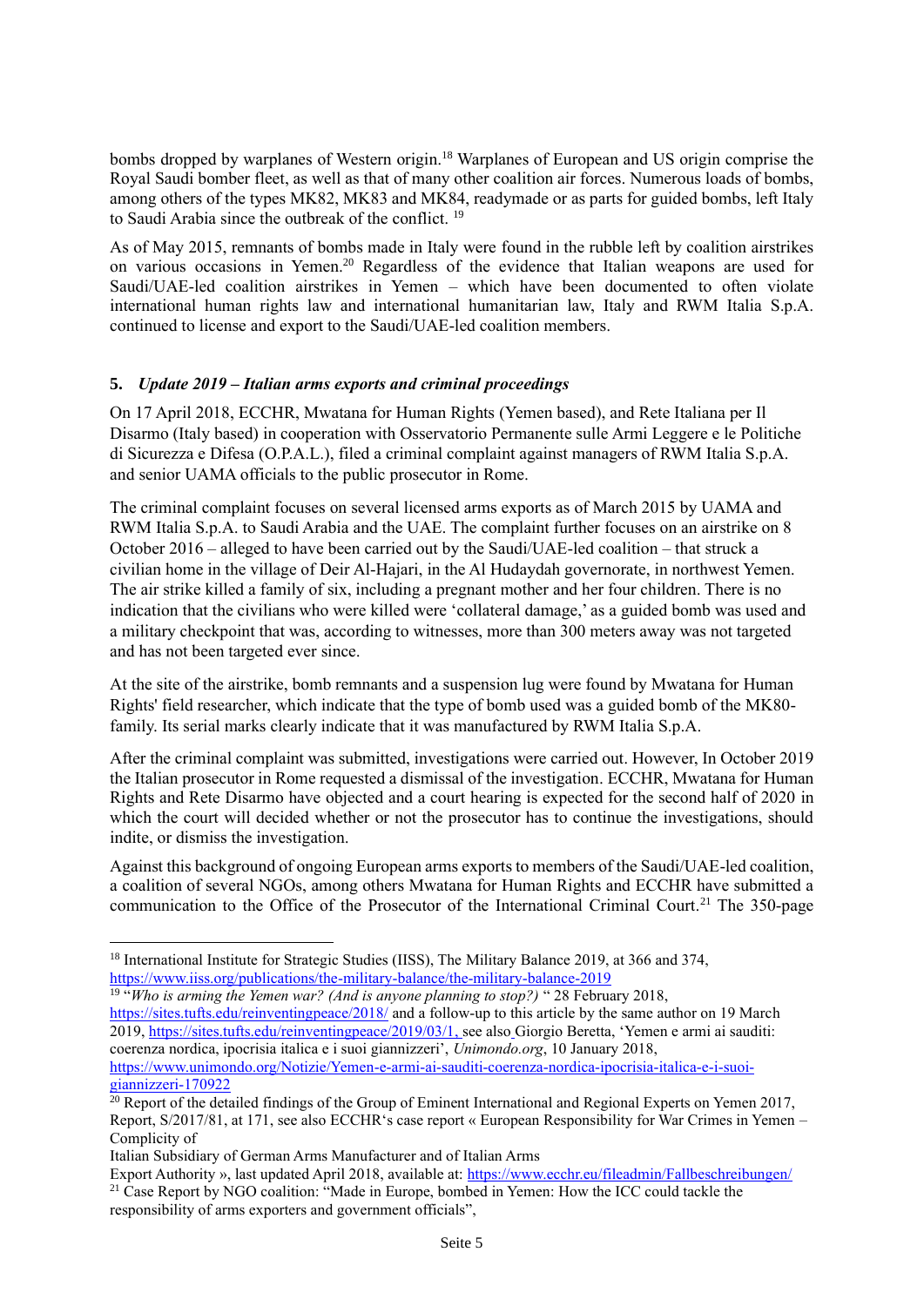bombs dropped by warplanes of Western origin.<sup>18</sup> Warplanes of European and US origin comprise the Royal Saudi bomber fleet, as well as that of many other coalition air forces. Numerous loads of bombs, among others of the types MK82, MK83 and MK84, readymade or as parts for guided bombs, left Italy to Saudi Arabia since the outbreak of the conflict. <sup>19</sup>

As of May 2015, remnants of bombs made in Italy were found in the rubble left by coalition airstrikes on various occasions in Yemen.<sup>20</sup> Regardless of the evidence that Italian weapons are used for Saudi/UAE-led coalition airstrikes in Yemen – which have been documented to often violate international human rights law and international humanitarian law, Italy and RWM Italia S.p.A. continued to license and export to the Saudi/UAE-led coalition members.

## **5.** *Update 2019 – Italian arms exports and criminal proceedings*

On 17 April 2018, ECCHR, Mwatana for Human Rights (Yemen based), and Rete Italiana per Il Disarmo (Italy based) in cooperation with Osservatorio Permanente sulle Armi Leggere e le Politiche di Sicurezza e Difesa (O.P.A.L.), filed a criminal complaint against managers of RWM Italia S.p.A. and senior UAMA officials to the public prosecutor in Rome.

The criminal complaint focuses on several licensed arms exports as of March 2015 by UAMA and RWM Italia S.p.A. to Saudi Arabia and the UAE. The complaint further focuses on an airstrike on 8 October 2016 – alleged to have been carried out by the Saudi/UAE-led coalition – that struck a civilian home in the village of Deir Al-Hajari, in the Al Hudaydah governorate, in northwest Yemen. The air strike killed a family of six, including a pregnant mother and her four children. There is no indication that the civilians who were killed were 'collateral damage,' as a guided bomb was used and a military checkpoint that was, according to witnesses, more than 300 meters away was not targeted and has not been targeted ever since.

At the site of the airstrike, bomb remnants and a suspension lug were found by Mwatana for Human Rights' field researcher, which indicate that the type of bomb used was a guided bomb of the MK80 family. Its serial marks clearly indicate that it was manufactured by RWM Italia S.p.A.

After the criminal complaint was submitted, investigations were carried out. However, In October 2019 the Italian prosecutor in Rome requested a dismissal of the investigation. ECCHR, Mwatana for Human Rights and Rete Disarmo have objected and a court hearing is expected for the second half of 2020 in which the court will decided whether or not the prosecutor has to continue the investigations, should indite, or dismiss the investigation.

Against this background of ongoing European arms exports to members of the Saudi/UAE-led coalition, a coalition of several NGOs, among others Mwatana for Human Rights and ECCHR have submitted a communication to the Office of the Prosecutor of the International Criminal Court.<sup>21</sup> The 350-page

<sup>&</sup>lt;sup>18</sup> International Institute for Strategic Studies (IISS), The Military Balance 2019, at 366 and 374, <https://www.iiss.org/publications/the-military-balance/the-military-balance-2019>

<sup>19</sup> "*Who is arming the Yemen war? (And is anyone planning to stop?)* " 28 February 2018,

<https://sites.tufts.edu/reinventingpeace/2018/> and a follow-up to this article by the same author on 19 March 2019, [https://sites.tufts.edu/reinventingpeace/2019/03/1,](https://sites.tufts.edu/reinventingpeace/2019/03/1) see also Giorgio Beretta, 'Yemen e armi ai sauditi: coerenza nordica, ipocrisia italica e i suoi giannizzeri', *Unimondo.org*, 10 January 2018, [https://www.unimondo.org/Notizie/Yemen-e-armi-ai-sauditi-coerenza-nordica-ipocrisia-italica-e-i-suoi](https://www.unimondo.org/Notizie/Yemen-e-armi-ai-sauditi-coerenza-nordica-ipocrisia-italica-e-i-suoi-giannizzeri-170922)[giannizzeri-170922](https://www.unimondo.org/Notizie/Yemen-e-armi-ai-sauditi-coerenza-nordica-ipocrisia-italica-e-i-suoi-giannizzeri-170922)

 $20$  Report of the detailed findings of the Group of Eminent International and Regional Experts on Yemen 2017, Report, S/2017/81, at 171, see also ECCHR's case report « European Responsibility for War Crimes in Yemen – Complicity of

Italian Subsidiary of German Arms Manufacturer and of Italian Arms

Export Authority », last updated April 2018, available at: [https://www.ecchr.eu/fileadmin/Fallbeschreibungen/](https://www.ecchr.eu/fileadmin/Fallbeschreibungen/CaseReport_ECCHR_Mwatana_Amnesty_CAAT_Delas_Rete.pdf) <sup>21</sup> Case Report by NGO coalition: "Made in Europe, bombed in Yemen: How the ICC could tackle the responsibility of arms exporters and government officials",